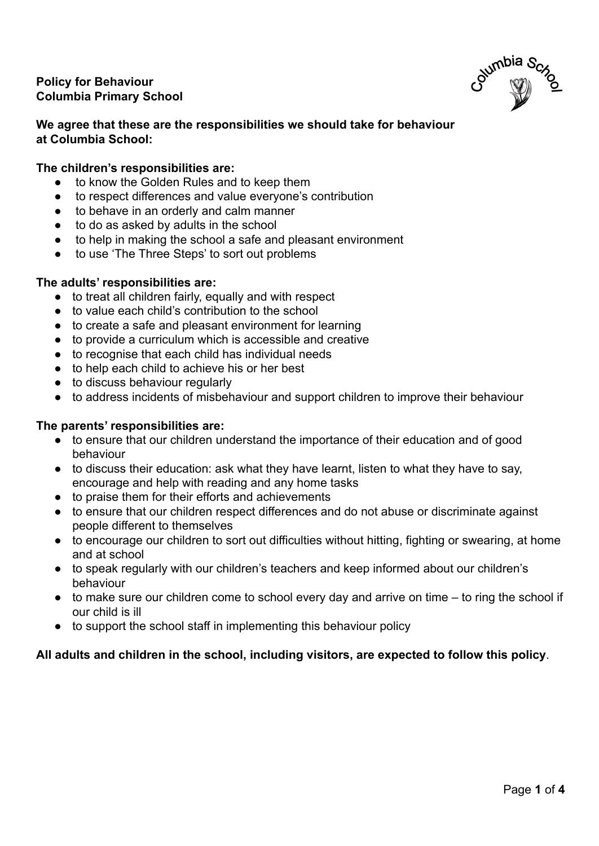# **Policy for Behaviour Columbia Primary School**



# **We agree that these are the responsibilities we should take for behaviour at Columbia School:**

# **The children's responsibilities are:**

- to know the Golden Rules and to keep them
- to respect differences and value everyone's contribution
- to behave in an orderly and calm manner
- to do as asked by adults in the school
- to help in making the school a safe and pleasant environment
- to use 'The Three Steps' to sort out problems

## **The adults' responsibilities are:**

- to treat all children fairly, equally and with respect
- to value each child's contribution to the school
- to create a safe and pleasant environment for learning
- to provide a curriculum which is accessible and creative
- to recognise that each child has individual needs
- to help each child to achieve his or her best
- to discuss behaviour regularly
- to address incidents of misbehaviour and support children to improve their behaviour

### **The parents' responsibilities are:**

- to ensure that our children understand the importance of their education and of good behaviour
- to discuss their education: ask what they have learnt, listen to what they have to say, encourage and help with reading and any home tasks
- to praise them for their efforts and achievements
- to ensure that our children respect differences and do not abuse or discriminate against people different to themselves
- to encourage our children to sort out difficulties without hitting, fighting or swearing, at home and at school
- to speak regularly with our children's teachers and keep informed about our children's behaviour
- to make sure our children come to school every day and arrive on time to ring the school if our child is ill
- to support the school staff in implementing this behaviour policy

## **All adults and children in the school, including visitors, are expected to follow this policy**.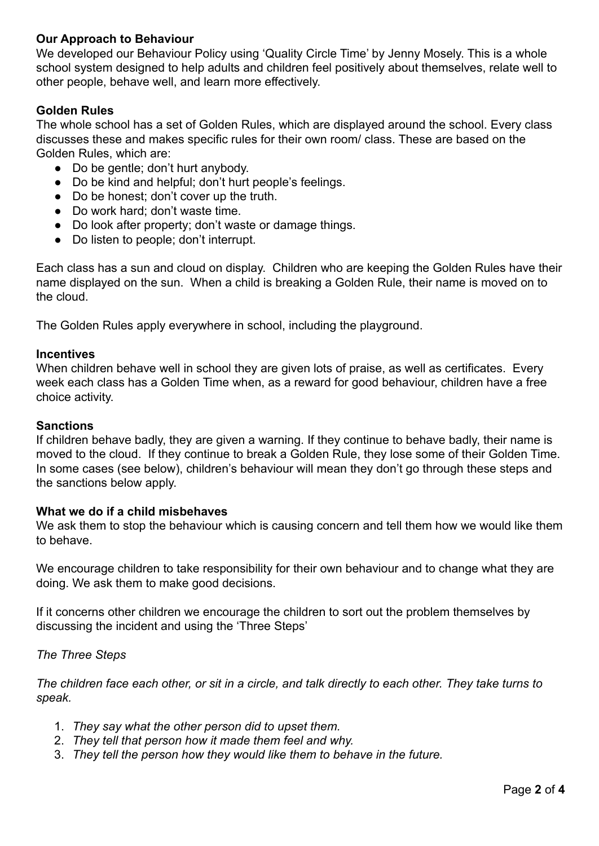# **Our Approach to Behaviour**

We developed our Behaviour Policy using 'Quality Circle Time' by Jenny Mosely. This is a whole school system designed to help adults and children feel positively about themselves, relate well to other people, behave well, and learn more effectively.

## **Golden Rules**

The whole school has a set of Golden Rules, which are displayed around the school. Every class discusses these and makes specific rules for their own room/ class. These are based on the Golden Rules, which are:

- Do be gentle: don't hurt anybody.
- Do be kind and helpful; don't hurt people's feelings.
- Do be honest; don't cover up the truth.
- Do work hard; don't waste time.
- Do look after property; don't waste or damage things.
- Do listen to people: don't interrupt.

Each class has a sun and cloud on display. Children who are keeping the Golden Rules have their name displayed on the sun. When a child is breaking a Golden Rule, their name is moved on to the cloud.

The Golden Rules apply everywhere in school, including the playground.

#### **Incentives**

When children behave well in school they are given lots of praise, as well as certificates. Every week each class has a Golden Time when, as a reward for good behaviour, children have a free choice activity.

#### **Sanctions**

If children behave badly, they are given a warning. If they continue to behave badly, their name is moved to the cloud. If they continue to break a Golden Rule, they lose some of their Golden Time. In some cases (see below), children's behaviour will mean they don't go through these steps and the sanctions below apply.

### **What we do if a child misbehaves**

We ask them to stop the behaviour which is causing concern and tell them how we would like them to behave.

We encourage children to take responsibility for their own behaviour and to change what they are doing. We ask them to make good decisions.

If it concerns other children we encourage the children to sort out the problem themselves by discussing the incident and using the 'Three Steps'

### *The Three Steps*

*The children face each other, or sit in a circle, and talk directly to each other. They take turns to speak.*

- 1. *They say what the other person did to upset them.*
- 2. *They tell that person how it made them feel and why.*
- 3. *They tell the person how they would like them to behave in the future.*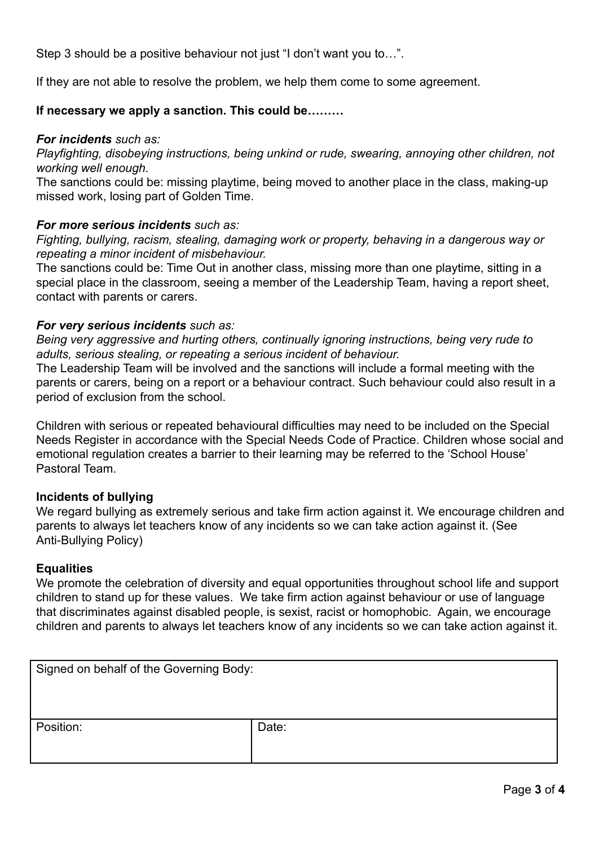Step 3 should be a positive behaviour not just "I don't want you to…".

If they are not able to resolve the problem, we help them come to some agreement.

# **If necessary we apply a sanction. This could be………**

### *For incidents such as:*

*Playfighting, disobeying instructions, being unkind or rude, swearing, annoying other children, not working well enough.*

The sanctions could be: missing playtime, being moved to another place in the class, making-up missed work, losing part of Golden Time.

## *For more serious incidents such as:*

*Fighting, bullying, racism, stealing, damaging work or property, behaving in a dangerous way or repeating a minor incident of misbehaviour.*

The sanctions could be: Time Out in another class, missing more than one playtime, sitting in a special place in the classroom, seeing a member of the Leadership Team, having a report sheet, contact with parents or carers.

## *For very serious incidents such as:*

*Being very aggressive and hurting others, continually ignoring instructions, being very rude to adults, serious stealing, or repeating a serious incident of behaviour.*

The Leadership Team will be involved and the sanctions will include a formal meeting with the parents or carers, being on a report or a behaviour contract. Such behaviour could also result in a period of exclusion from the school.

Children with serious or repeated behavioural difficulties may need to be included on the Special Needs Register in accordance with the Special Needs Code of Practice. Children whose social and emotional regulation creates a barrier to their learning may be referred to the 'School House' Pastoral Team.

## **Incidents of bullying**

We regard bullying as extremely serious and take firm action against it. We encourage children and parents to always let teachers know of any incidents so we can take action against it. (See Anti-Bullying Policy)

### **Equalities**

We promote the celebration of diversity and equal opportunities throughout school life and support children to stand up for these values. We take firm action against behaviour or use of language that discriminates against disabled people, is sexist, racist or homophobic. Again, we encourage children and parents to always let teachers know of any incidents so we can take action against it.

| Signed on behalf of the Governing Body: |       |
|-----------------------------------------|-------|
| Position:                               | Date: |